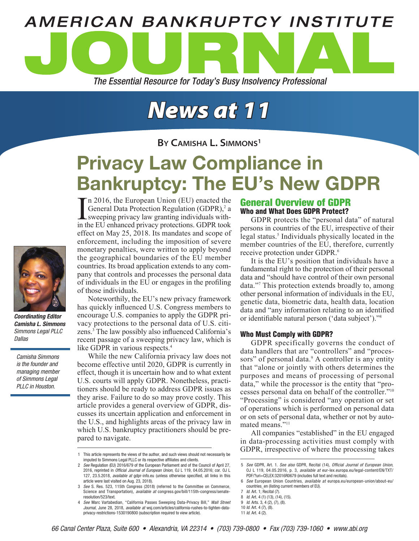

# *News at 11*

**By Camisha L. Simmons1**

# Privacy Law Compliance in Bankruptcy: The EU's New GDPR

In 2016, the European Union (EU) enacted the General Data Protection Regulation (GDPR),<sup>2</sup> a sweeping privacy law granting individuals within the EU enhanced privacy protections. GDPR took n 2016, the European Union (EU) enacted the General Data Protection Regulation (GDPR),<sup>2</sup> a sweeping privacy law granting individuals witheffect on May 25, 2018. Its mandates and scope of enforcement, including the imposition of severe monetary penalties, were written to apply beyond the geographical boundaries of the EU member countries. Its broad application extends to any company that controls and processes the personal data of individuals in the EU or engages in the profiling of those individuals.

Noteworthily, the EU's new privacy framework has quickly influenced U.S. Congress members to encourage U.S. companies to apply the GDPR privacy protections to the personal data of U.S. citizens.3 The law possibly also influenced California's recent passage of a sweeping privacy law, which is like GDPR in various respects.<sup>4</sup>

While the new California privacy law does not become effective until 2020, GDPR is currently in effect, though it is uncertain how and to what extent U.S. courts will apply GDPR. Nonetheless, practitioners should be ready to address GDPR issues as they arise. Failure to do so may prove costly. This article provides a general overview of GDPR, discusses its uncertain application and enforcement in the U.S., and highlights areas of the privacy law in which U.S. bankruptcy practitioners should be prepared to navigate.

# General Overview of GDPR Who and What Does GDPR Protect?

GDPR protects the "personal data" of natural persons in countries of the EU, irrespective of their legal status.<sup>5</sup> Individuals physically located in the member countries of the EU, therefore, currently receive protection under GDPR.<sup>6</sup>

It is the EU's position that individuals have a fundamental right to the protection of their personal data and "should have control of their own personal data."7 This protection extends broadly to, among other personal information of individuals in the EU, genetic data, biometric data, health data, location data and "any information relating to an identified or identifiable natural person ('data subject')."<sup>8</sup>

## Who Must Comply with GDPR?

GDPR specifically governs the conduct of data handlers that are "controllers" and "processors" of personal data.<sup>9</sup> A controller is any entity that "alone or jointly with others determines the purposes and means of processing of personal data," while the processor is the entity that "processes personal data on behalf of the controller."10 "Processing" is considered "any operation or set of operations which is performed on personal data or on sets of personal data, whether or not by automated means."11

All companies "established" in the EU engaged in data-processing activities must comply with GDPR, irrespective of where the processing takes

```
9 Id. Arts. 3, 4 (2), (7), (8).
10 Id. Art. 4 (7), (8).
```


*Coordinating Editor Camisha L. Simmons Simmons Legal PLLC Dallas*

*Camisha Simmons is the founder and managing member of Simmons Legal PLLC in Houston.*

<sup>1</sup> This article represents the views of the author, and such views should not necessarily be imputed to Simmons Legal PLLC or its respective affiliates and clients.

<sup>2</sup> *See* Regulation (EU) 2016/679 of the European Parliament and of the Council of April 27, 2016, reprinted in *Official Journal of European Union*, OJ L 119, 04.05.2016; cor. OJ L 127, 23.5.2018, *available at* gdpr-info.eu (unless otherwise specified, all links in this article were last visited on Aug. 23, 2018).

<sup>3</sup> *See* S. Res. 523, 115th Congress (2018) (referred to the Committee on Commerce, Science and Transportation), *available at* congress.gov/bill/115th-congress/senateresolution/523/text.

<sup>4</sup> *See* Marc Vartabedian, "California Passes Sweeping Data-Privacy Bill," *Wall Street Journal*, June 28, 2018, *available at* wsj.com/articles/california-rushes-to-tighten-dataprivacy-restrictions-1530190800 (subscription required to view article).

<sup>5</sup> *See* GDPR, Art. 1. *See also* GDPR, Recital (14), *Official Journal of European Union*, OJ L 119, 04.05.2016, p. 3, *available at* eur-lex.europa.eu/legal-content/EN/TXT/ PDF/?uri=CELEX:32016R0679 (includes full text and recitals).

<sup>6</sup> *See* European Union Countries, *available at* europa.eu/european-union/about-eu/ countries\_en (listing current members of EU).

<sup>7</sup> *Id*. Art. 1; Recital (7).

<sup>8</sup> *Id*. Art. 4 (1) (13), (14), (15).

<sup>11</sup> *Id*. Art. 4 (2).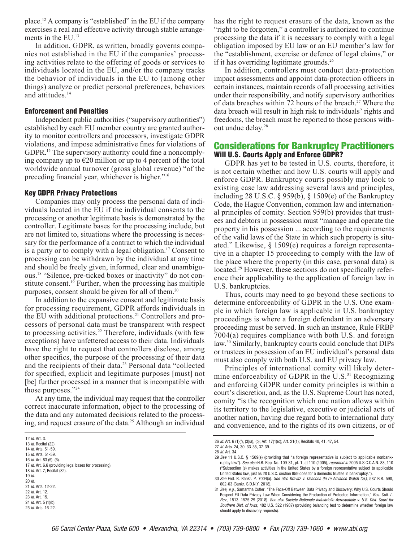place.12 A company is "established" in the EU if the company exercises a real and effective activity through stable arrangements in the EU.<sup>13</sup>

In addition, GDPR, as written, broadly governs companies not established in the EU if the companies' processing activities relate to the offering of goods or services to individuals located in the EU, and/or the company tracks the behavior of individuals in the EU to (among other things) analyze or predict personal preferences, behaviors and attitudes.<sup>14</sup>

#### Enforcement and Penalties

Independent public authorities ("supervisory authorities") established by each EU member country are granted authority to monitor controllers and processors, investigate GDPR violations, and impose administrative fines for violations of GDPR.15 The supervisory authority could fine a noncomplying company up to  $\epsilon$ 20 million or up to 4 percent of the total worldwide annual turnover (gross global revenue) "of the preceding financial year, whichever is higher."<sup>16</sup>

#### Key GDPR Privacy Protections

Companies may only process the personal data of individuals located in the EU if the individual consents to the processing or another legitimate basis is demonstrated by the controller. Legitimate bases for the processing include, but are not limited to, situations where the processing is necessary for the performance of a contract to which the individual is a party or to comply with a legal obligation.<sup>17</sup> Consent to processing can be withdrawn by the individual at any time and should be freely given, informed, clear and unambiguous.18 "Silence, pre-ticked boxes or inactivity" do not constitute consent.<sup>19</sup> Further, when the processing has multiple purposes, consent should be given for all of them.20

In addition to the expansive consent and legitimate basis for processing requirement, GDPR affords individuals in the EU with additional protections.21 Controllers and processors of personal data must be transparent with respect to processing activities.<sup>22</sup> Therefore, individuals (with few exceptions) have unfettered access to their data. Individuals have the right to request that controllers disclose, among other specifics, the purpose of the processing of their data and the recipients of their data.<sup>23</sup> Personal data "collected" for specified, explicit and legitimate purposes [must] not [be] further processed in a manner that is incompatible with those purposes."24

At any time, the individual may request that the controller correct inaccurate information, object to the processing of the data and any automated decisions related to the processing, and request erasure of the data.<sup>25</sup> Although an individual

- 20 *Id*.
- 21 *Id*. Arts. 12-22.
- 22 *Id*. Art. 12. 23 *Id*. Art. 15.
- 24 *Id*. Art. 5 (1)(b).
- 25 *Id*. Arts. 16-22.

has the right to request erasure of the data, known as the "right to be forgotten," a controller is authorized to continue processing the data if it is necessary to comply with a legal obligation imposed by EU law or an EU member's law for the "establishment, exercise or defence of legal claims," or if it has overriding legitimate grounds.<sup>26</sup>

In addition, controllers must conduct data-protection impact assessments and appoint data-protection officers in certain instances, maintain records of all processing activities under their responsibility, and notify supervisory authorities of data breaches within 72 hours of the breach.<sup>27</sup> Where the data breach will result in high risk to individuals' rights and freedoms, the breach must be reported to those persons without undue delay.<sup>28</sup>

# Considerations for Bankruptcy Practitioners Will U.S. Courts Apply and Enforce GDPR?

GDPR has yet to be tested in U.S. courts, therefore, it is not certain whether and how U.S. courts will apply and enforce GDPR. Bankruptcy courts possibly may look to existing case law addressing several laws and principles, including 28 U.S.C. § 959(b), § 1509(e) of the Bankruptcy Code, the Hague Convention, common law and international principles of comity. Section 959(b) provides that trustees and debtors in possession must "manage and operate the property in his possession ... according to the requirements of the valid laws of the State in which such property is situated." Likewise, § 1509(e) requires a foreign representative in a chapter 15 proceeding to comply with the law of the place where the property (in this case, personal data) is located.<sup>29</sup> However, these sections do not specifically reference their applicability to the application of foreign law in U.S. bankruptcies.

Thus, courts may need to go beyond these sections to determine enforceability of GDPR in the U.S. One example in which foreign law is applicable in U.S. bankruptcy proceedings is where a foreign defendant in an adversary proceeding must be served. In such an instance, Rule FRBP 7004(a) requires compliance with both U.S. and foreign law.<sup>30</sup> Similarly, bankruptcy courts could conclude that DIPs or trustees in possession of an EU individual's personal data must also comply with both U.S. and EU privacy law.

Principles of international comity will likely determine enforceability of GDPR in the U.S. $31$  Recognizing and enforcing GDPR under comity principles is within a court's discretion, and, as the U.S. Supreme Court has noted, comity "is the recognition which one nation allows within its territory to the legislative, executive or judicial acts of another nation, having due regard both to international duty and convenience, and to the rights of its own citizens, or of

<sup>12</sup> *Id*. Art. 3.

<sup>13</sup> *Id*. Recital (22).

<sup>14</sup> *Id*. Arts. 51-59. 15 *Id*. Arts. 51-59.

<sup>16</sup> *Id*. Art. 83 (5), (6).

<sup>17</sup> *Id*. Art. 6.6 (providing legal bases for processing).

<sup>18</sup> *Id*. Art. 7; Recital (32). 19 *Id*.

<sup>26</sup> *Id*. Art. 6 (1)(f), (3)(a), (b); Art. 17(1)(c); Art. 21(1); Recitals 40, 41, 47, 54.

<sup>27</sup> *Id*. Arts. 24, 30, 33-35, 37-39.

<sup>28</sup> *Id*. Art. 34.

<sup>29</sup> *See* 11 U.S.C. § 1509(e) (providing that "a foreign representative is subject to applicable nonbankruptcy law"). *See also* H.R. Rep. No. 109-31, pt. 1, at 110 (2005), *reprinted in* 2005 U.S.C.C.A.N. 88, 110 ("Subsection (e) makes activities in the United States by a foreign representative subject to applicable United States law, just as 28 U.S.C. section 959 does for a domestic trustee in bankruptcy.").

<sup>30</sup> *See* Fed. R. Bankr. P. 7004(a). *See also Kravitz v. Deacons (In re Advance Watch Co.)*, 587 B.R. 598, 602-03 (Bankr. S.D.N.Y. 2018).

<sup>31</sup> *See, e.g.*, Samantha Cutler, "The Face-Off Between Data Privacy and Discovery: Why U.S. Courts Should Respect EU Data Privacy Law When Considering the Production of Protected Information," *Bos. Coll. L. Rev.*, 1513, 1525-29 (2018). *See also Societe Nationale Industrielle Aerospatiale v. U.S. Dist. Court for Southern Dist. of Iowa*, 482 U.S. 522 (1987) (providing balancing test to determine whether foreign law should apply to discovery requests).